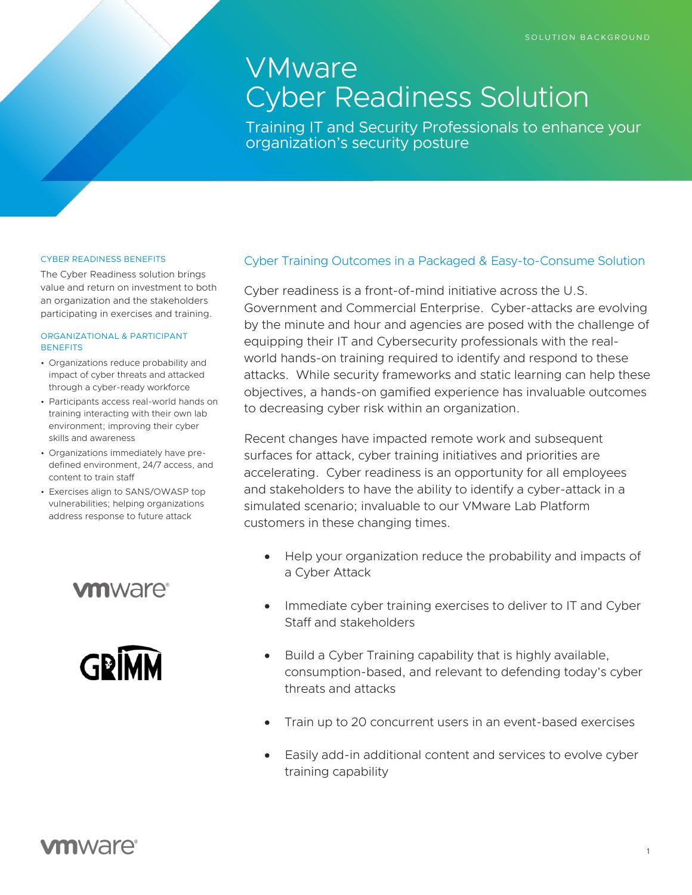# VMware Cyber Readiness Solution

Training IT and Security Professionals to enhance your organization's security posture

#### CYBER READINESS BENEFITS

The Cyber Readiness solution brings value and return on investment to both an organization and the stakeholders participating in exercises and training.

#### ORGANIZATIONAL & PARTICIPANT **BENEFITS**

- Organizations reduce probability and impact of cyber threats and attacked through a cyber-ready workforce
- Participants access real-world hands on training interacting with their own lab environment; improving their cyber skills and awareness
- Organizations immediately have predefined environment, 24/7 access, and content to train staff
- Exercises align to SANS/OWASP top vulnerabilities; helping organizations address response to future attack

## **vm**ware<sup>®</sup>



#### Cyber Training Outcomes in a Packaged & Easy-to-Consume Solution

Cyber readiness is a front-of-mind initiative across the U.S. Government and Commercial Enterprise. Cyber-attacks are evolving by the minute and hour and agencies are posed with the challenge of equipping their IT and Cybersecurity professionals with the realworld hands-on training required to identify and respond to these attacks. While security frameworks and static learning can help these objectives, a hands-on gamified experience has invaluable outcomes to decreasing cyber risk within an organization.

Recent changes have impacted remote work and subsequent surfaces for attack, cyber training initiatives and priorities are accelerating. Cyber readiness is an opportunity for all employees and stakeholders to have the ability to identify a cyber-attack in a simulated scenario; invaluable to our VMware Lab Platform customers in these changing times.

- Help your organization reduce the probability and impacts of a Cyber Attack
- Immediate cyber training exercises to deliver to IT and Cyber Staff and stakeholders
- Build a Cyber Training capability that is highly available, consumption-based, and relevant to defending today's cyber threats and attacks
- Train up to 20 concurrent users in an event-based exercises
- Easily add-in additional content and services to evolve cyber training capability

### **vm**ware<sup>®</sup>